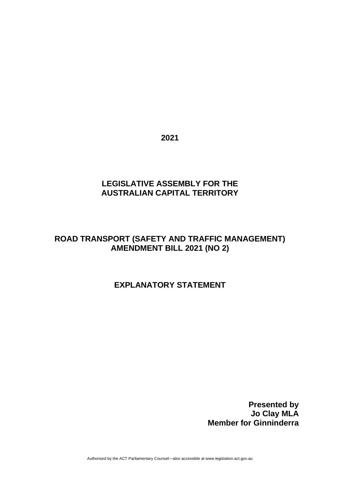**2021**

# **LEGISLATIVE ASSEMBLY FOR THE AUSTRALIAN CAPITAL TERRITORY**

# **ROAD TRANSPORT (SAFETY AND TRAFFIC MANAGEMENT) AMENDMENT BILL 2021 (NO 2)**

# **EXPLANATORY STATEMENT**

**Presented by Jo Clay MLA Member for Ginninderra**

Authorised by the ACT Parliamentary Counsel—also accessible at www.legislation.act.gov.au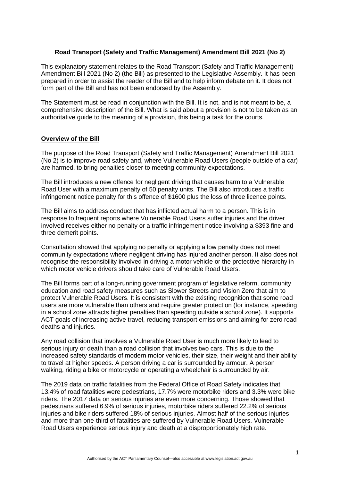## **Road Transport (Safety and Traffic Management) Amendment Bill 2021 (No 2)**

This explanatory statement relates to the Road Transport (Safety and Traffic Management) Amendment Bill 2021 (No 2) (the Bill) as presented to the Legislative Assembly. It has been prepared in order to assist the reader of the Bill and to help inform debate on it. It does not form part of the Bill and has not been endorsed by the Assembly.

The Statement must be read in conjunction with the Bill. It is not, and is not meant to be, a comprehensive description of the Bill. What is said about a provision is not to be taken as an authoritative guide to the meaning of a provision, this being a task for the courts.

#### **Overview of the Bill**

The purpose of the Road Transport (Safety and Traffic Management) Amendment Bill 2021 (No 2) is to improve road safety and, where Vulnerable Road Users (people outside of a car) are harmed, to bring penalties closer to meeting community expectations.

The Bill introduces a new offence for negligent driving that causes harm to a Vulnerable Road User with a maximum penalty of 50 penalty units. The Bill also introduces a traffic infringement notice penalty for this offence of \$1600 plus the loss of three licence points.

The Bill aims to address conduct that has inflicted actual harm to a person. This is in response to frequent reports where Vulnerable Road Users suffer injuries and the driver involved receives either no penalty or a traffic infringement notice involving a \$393 fine and three demerit points.

Consultation showed that applying no penalty or applying a low penalty does not meet community expectations where negligent driving has injured another person. It also does not recognise the responsibility involved in driving a motor vehicle or the protective hierarchy in which motor vehicle drivers should take care of Vulnerable Road Users.

The Bill forms part of a long-running government program of legislative reform, community education and road safety measures such as Slower Streets and Vision Zero that aim to protect Vulnerable Road Users. It is consistent with the existing recognition that some road users are more vulnerable than others and require greater protection (for instance, speeding in a school zone attracts higher penalties than speeding outside a school zone). It supports ACT goals of increasing active travel, reducing transport emissions and aiming for zero road deaths and injuries.

Any road collision that involves a Vulnerable Road User is much more likely to lead to serious injury or death than a road collision that involves two cars. This is due to the increased safety standards of modern motor vehicles, their size, their weight and their ability to travel at higher speeds. A person driving a car is surrounded by armour. A person walking, riding a bike or motorcycle or operating a wheelchair is surrounded by air.

The 2019 data on traffic fatalities from the Federal Office of Road Safety indicates that 13.4% of road fatalities were pedestrians, 17.7% were motorbike riders and 3.3% were bike riders. The 2017 data on serious injuries are even more concerning. Those showed that pedestrians suffered 6.9% of serious injuries, motorbike riders suffered 22.2% of serious injuries and bike riders suffered 18% of serious injuries. Almost half of the serious injuries and more than one-third of fatalities are suffered by Vulnerable Road Users. Vulnerable Road Users experience serious injury and death at a disproportionately high rate.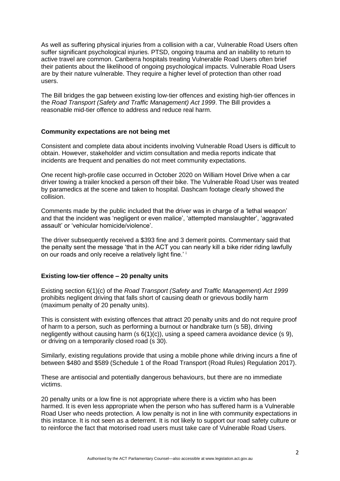As well as suffering physical injuries from a collision with a car, Vulnerable Road Users often suffer significant psychological injuries. PTSD, ongoing trauma and an inability to return to active travel are common. Canberra hospitals treating Vulnerable Road Users often brief their patients about the likelihood of ongoing psychological impacts. Vulnerable Road Users are by their nature vulnerable. They require a higher level of protection than other road users.

The Bill bridges the gap between existing low-tier offences and existing high-tier offences in the *Road Transport (Safety and Traffic Management) Act 1999*. The Bill provides a reasonable mid-tier offence to address and reduce real harm.

#### **Community expectations are not being met**

Consistent and complete data about incidents involving Vulnerable Road Users is difficult to obtain. However, stakeholder and victim consultation and media reports indicate that incidents are frequent and penalties do not meet community expectations.

One recent high-profile case occurred in October 2020 on William Hovel Drive when a car driver towing a trailer knocked a person off their bike. The Vulnerable Road User was treated by paramedics at the scene and taken to hospital. Dashcam footage clearly showed the collision.

Comments made by the public included that the driver was in charge of a 'lethal weapon' and that the incident was 'negligent or even malice', 'attempted manslaughter', 'aggravated assault' or 'vehicular homicide/violence'.

The driver subsequently received a \$393 fine and 3 demerit points. Commentary said that the penalty sent the message 'that in the ACT you can nearly kill a bike rider riding lawfully on our roads and only receive a relatively light fine.' <sup>i</sup>

## **Existing low-tier offence – 20 penalty units**

Existing section 6(1)(c) of the *Road Transport (Safety and Traffic Management) Act 1999* prohibits negligent driving that falls short of causing death or grievous bodily harm (maximum penalty of 20 penalty units).

This is consistent with existing offences that attract 20 penalty units and do not require proof of harm to a person, such as performing a burnout or handbrake turn (s 5B), driving negligently without causing harm (s 6(1)(c)), using a speed camera avoidance device (s 9), or driving on a temporarily closed road (s 30).

Similarly, existing regulations provide that using a mobile phone while driving incurs a fine of between \$480 and \$589 (Schedule 1 of the Road Transport (Road Rules) Regulation 2017).

These are antisocial and potentially dangerous behaviours, but there are no immediate victims.

20 penalty units or a low fine is not appropriate where there is a victim who has been harmed. It is even less appropriate when the person who has suffered harm is a Vulnerable Road User who needs protection. A low penalty is not in line with community expectations in this instance. It is not seen as a deterrent. It is not likely to support our road safety culture or to reinforce the fact that motorised road users must take care of Vulnerable Road Users.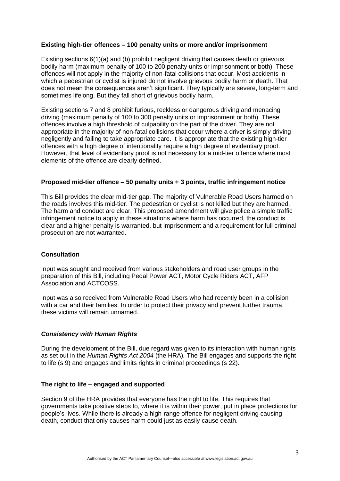#### **Existing high-tier offences – 100 penalty units or more and/or imprisonment**

Existing sections 6(1)(a) and (b) prohibit negligent driving that causes death or grievous bodily harm (maximum penalty of 100 to 200 penalty units or imprisonment or both). These offences will not apply in the majority of non-fatal collisions that occur. Most accidents in which a pedestrian or cyclist is injured do not involve grievous bodily harm or death. That does not mean the consequences aren't significant. They typically are severe, long-term and sometimes lifelong. But they fall short of grievous bodily harm.

Existing sections 7 and 8 prohibit furious, reckless or dangerous driving and menacing driving (maximum penalty of 100 to 300 penalty units or imprisonment or both). These offences involve a high threshold of culpability on the part of the driver. They are not appropriate in the majority of non-fatal collisions that occur where a driver is simply driving negligently and failing to take appropriate care. It is appropriate that the existing high-tier offences with a high degree of intentionality require a high degree of evidentiary proof. However, that level of evidentiary proof is not necessary for a mid-tier offence where most elements of the offence are clearly defined.

#### **Proposed mid-tier offence – 50 penalty units + 3 points, traffic infringement notice**

This Bill provides the clear mid-tier gap. The majority of Vulnerable Road Users harmed on the roads involves this mid-tier. The pedestrian or cyclist is not killed but they are harmed. The harm and conduct are clear. This proposed amendment will give police a simple traffic infringement notice to apply in these situations where harm has occurred, the conduct is clear and a higher penalty is warranted, but imprisonment and a requirement for full criminal prosecution are not warranted.

## **Consultation**

Input was sought and received from various stakeholders and road user groups in the preparation of this Bill, including Pedal Power ACT, Motor Cycle Riders ACT, AFP Association and ACTCOSS.

Input was also received from Vulnerable Road Users who had recently been in a collision with a car and their families. In order to protect their privacy and prevent further trauma, these victims will remain unnamed.

## *Consistency with Human Rights*

During the development of the Bill, due regard was given to its interaction with human rights as set out in the *Human Rights Act 2004* (the HRA)*.* The Bill engages and supports the right to life (s 9) and engages and limits rights in criminal proceedings (s 22).

#### **The right to life – engaged and supported**

Section 9 of the HRA provides that everyone has the right to life. This requires that governments take positive steps to, where it is within their power, put in place protections for people's lives. While there is already a high-range offence for negligent driving causing death, conduct that only causes harm could just as easily cause death.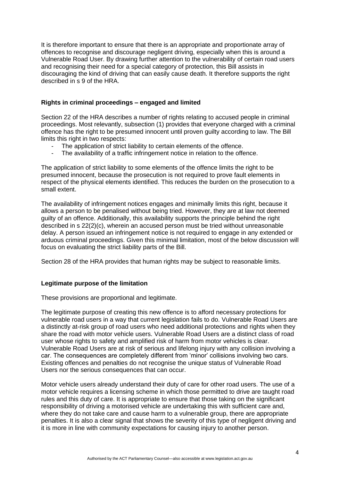It is therefore important to ensure that there is an appropriate and proportionate array of offences to recognise and discourage negligent driving, especially when this is around a Vulnerable Road User. By drawing further attention to the vulnerability of certain road users and recognising their need for a special category of protection, this Bill assists in discouraging the kind of driving that can easily cause death. It therefore supports the right described in s 9 of the HRA.

## **Rights in criminal proceedings – engaged and limited**

Section 22 of the HRA describes a number of rights relating to accused people in criminal proceedings. Most relevantly, subsection (1) provides that everyone charged with a criminal offence has the right to be presumed innocent until proven guilty according to law. The Bill limits this right in two respects:

- The application of strict liability to certain elements of the offence.
- The availability of a traffic infringement notice in relation to the offence.

The application of strict liability to some elements of the offence limits the right to be presumed innocent, because the prosecution is not required to prove fault elements in respect of the physical elements identified. This reduces the burden on the prosecution to a small extent.

The availability of infringement notices engages and minimally limits this right, because it allows a person to be penalised without being tried. However, they are at law not deemed guilty of an offence. Additionally, this availability supports the principle behind the right described in s 22(2)(c), wherein an accused person must be tried without unreasonable delay. A person issued an infringement notice is not required to engage in any extended or arduous criminal proceedings. Given this minimal limitation, most of the below discussion will focus on evaluating the strict liability parts of the Bill.

Section 28 of the HRA provides that human rights may be subject to reasonable limits.

## **Legitimate purpose of the limitation**

These provisions are proportional and legitimate.

The legitimate purpose of creating this new offence is to afford necessary protections for vulnerable road users in a way that current legislation fails to do. Vulnerable Road Users are a distinctly at-risk group of road users who need additional protections and rights when they share the road with motor vehicle users. Vulnerable Road Users are a distinct class of road user whose rights to safety and amplified risk of harm from motor vehicles is clear. Vulnerable Road Users are at risk of serious and lifelong injury with any collision involving a car. The consequences are completely different from 'minor' collisions involving two cars. Existing offences and penalties do not recognise the unique status of Vulnerable Road Users nor the serious consequences that can occur.

Motor vehicle users already understand their duty of care for other road users. The use of a motor vehicle requires a licensing scheme in which those permitted to drive are taught road rules and this duty of care. It is appropriate to ensure that those taking on the significant responsibility of driving a motorised vehicle are undertaking this with sufficient care and, where they do not take care and cause harm to a vulnerable group, there are appropriate penalties. It is also a clear signal that shows the severity of this type of negligent driving and it is more in line with community expectations for causing injury to another person.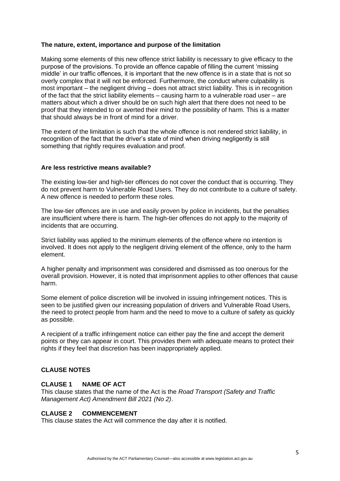#### **The nature, extent, importance and purpose of the limitation**

Making some elements of this new offence strict liability is necessary to give efficacy to the purpose of the provisions. To provide an offence capable of filling the current 'missing middle' in our traffic offences, it is important that the new offence is in a state that is not so overly complex that it will not be enforced. Furthermore, the conduct where culpability is most important – the negligent driving – does not attract strict liability. This is in recognition of the fact that the strict liability elements – causing harm to a vulnerable road user – are matters about which a driver should be on such high alert that there does not need to be proof that they intended to or averted their mind to the possibility of harm. This is a matter that should always be in front of mind for a driver.

The extent of the limitation is such that the whole offence is not rendered strict liability, in recognition of the fact that the driver's state of mind when driving negligently is still something that rightly requires evaluation and proof.

#### **Are less restrictive means available?**

The existing low-tier and high-tier offences do not cover the conduct that is occurring. They do not prevent harm to Vulnerable Road Users. They do not contribute to a culture of safety. A new offence is needed to perform these roles.

The low-tier offences are in use and easily proven by police in incidents, but the penalties are insufficient where there is harm. The high-tier offences do not apply to the majority of incidents that are occurring.

Strict liability was applied to the minimum elements of the offence where no intention is involved. It does not apply to the negligent driving element of the offence, only to the harm element.

A higher penalty and imprisonment was considered and dismissed as too onerous for the overall provision. However, it is noted that imprisonment applies to other offences that cause harm.

Some element of police discretion will be involved in issuing infringement notices. This is seen to be justified given our increasing population of drivers and Vulnerable Road Users, the need to protect people from harm and the need to move to a culture of safety as quickly as possible.

A recipient of a traffic infringement notice can either pay the fine and accept the demerit points or they can appear in court. This provides them with adequate means to protect their rights if they feel that discretion has been inappropriately applied.

## **CLAUSE NOTES**

#### **CLAUSE 1 NAME OF ACT**

This clause states that the name of the Act is the *Road Transport (Safety and Traffic Management Act) Amendment Bill 2021 (No 2)*.

#### **CLAUSE 2 COMMENCEMENT**

This clause states the Act will commence the day after it is notified.